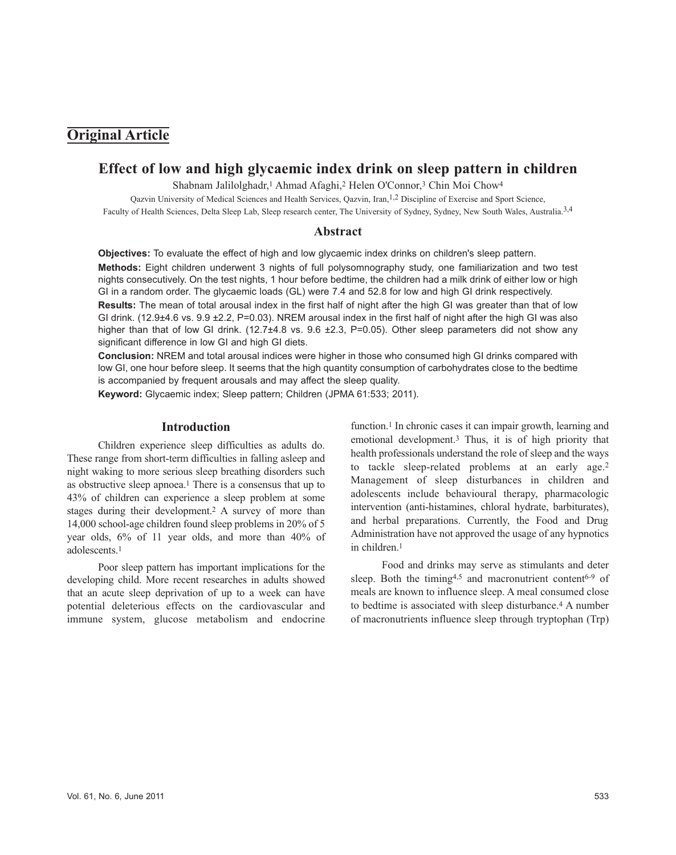# **Original Article**

## **Effect of low and high glycaemic index drink on sleep pattern in children**

Shabnam Jalilolghadr,<sup>1</sup> Ahmad Afaghi,<sup>2</sup> Helen O'Connor,<sup>3</sup> Chin Moi Chow<sup>4</sup>

Qazvin University of Medical Sciences and Health Services, Qazvin, Iran,1,2 Discipline of Exercise and Sport Science, Faculty of Health Sciences, Delta Sleep Lab, Sleep research center, The University of Sydney, Sydney, New South Wales, Australia.3,4

### **Abstract**

**Objectives:** To evaluate the effect of high and low glycaemic index drinks on children's sleep pattern. **Methods:** Eight children underwent 3 nights of full polysomnography study, one familiarization and two test nights consecutively. On the test nights, 1 hour before bedtime, the children had a milk drink of either low or high GI in a random order. The glycaemic loads (GL) were 7.4 and 52.8 for low and high GI drink respectively. **Results:** The mean of total arousal index in the first half of night after the high GI was greater than that of low GI drink. (12.9±4.6 vs. 9.9 ±2.2, P=0.03). NREM arousal index in the first half of night after the high GI was also higher than that of low GI drink. (12.7 $\pm$ 4.8 vs. 9.6  $\pm$ 2.3, P=0.05). Other sleep parameters did not show any significant difference in low GI and high GI diets.

**Conclusion:** NREM and total arousal indices were higher in those who consumed high GI drinks compared with low GI, one hour before sleep. It seems that the high quantity consumption of carbohydrates close to the bedtime is accompanied by frequent arousals and may affect the sleep quality.

**Keyword:** Glycaemic index; Sleep pattern; Children (JPMA 61:533; 2011).

### **Introduction**

Children experience sleep difficulties as adults do. These range from short-term difficulties in falling asleep and night waking to more serious sleep breathing disorders such as obstructive sleep apnoea.<sup>1</sup> There is a consensus that up to 43% of children can experience a sleep problem at some stages during their development.<sup>2</sup> A survey of more than 14,000 school-age children found sleep problems in 20% of 5 year olds, 6% of 11 year olds, and more than 40% of adolescents.<sup>1</sup>

Poor sleep pattern has important implications for the developing child. More recent researches in adults showed that an acute sleep deprivation of up to a week can have potential deleterious effects on the cardiovascular and immune system, glucose metabolism and endocrine

function.<sup>1</sup> In chronic cases it can impair growth, learning and emotional development.<sup>3</sup> Thus, it is of high priority that health professionals understand the role of sleep and the ways to tackle sleep-related problems at an early age.<sup>2</sup> Management of sleep disturbances in children and adolescents include behavioural therapy, pharmacologic intervention (anti-histamines, chloral hydrate, barbiturates), and herbal preparations. Currently, the Food and Drug Administration have not approved the usage of any hypnotics in children.<sup>1</sup>

Food and drinks may serve as stimulants and deter sleep. Both the timing<sup>4,5</sup> and macronutrient content<sup>6-9</sup> of meals are known to influence sleep. A meal consumed close to bedtime is associated with sleep disturbance.<sup>4</sup> A number of macronutrients influence sleep through tryptophan (Trp)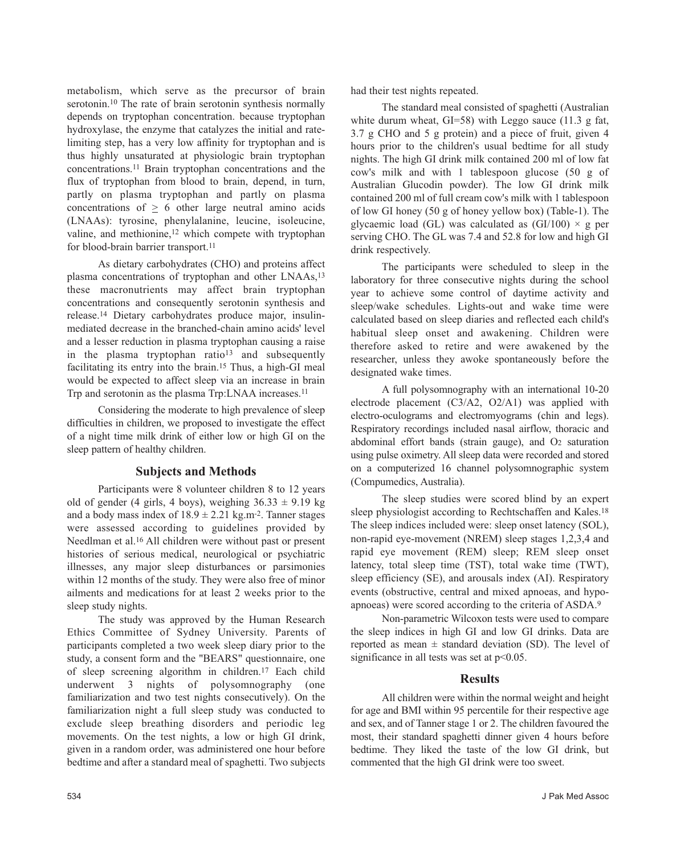metabolism, which serve as the precursor of brain serotonin.<sup>10</sup> The rate of brain serotonin synthesis normally depends on tryptophan concentration. because tryptophan hydroxylase, the enzyme that catalyzes the initial and ratelimiting step, has a very low affinity for tryptophan and is thus highly unsaturated at physiologic brain tryptophan concentrations.<sup>11</sup> Brain tryptophan concentrations and the flux of tryptophan from blood to brain, depend, in turn, partly on plasma tryptophan and partly on plasma concentrations of  $> 6$  other large neutral amino acids (LNAAs): tyrosine, phenylalanine, leucine, isoleucine, valine, and methionine,<sup>12</sup> which compete with tryptophan for blood-brain barrier transport.<sup>11</sup>

As dietary carbohydrates (CHO) and proteins affect plasma concentrations of tryptophan and other LNAAs,<sup>13</sup> these macronutrients may affect brain tryptophan concentrations and consequently serotonin synthesis and release.<sup>14</sup> Dietary carbohydrates produce major, insulinmediated decrease in the branched-chain amino acids' level and a lesser reduction in plasma tryptophan causing a raise in the plasma tryptophan ratio<sup>13</sup> and subsequently facilitating its entry into the brain.<sup>15</sup> Thus, a high-GI meal would be expected to affect sleep via an increase in brain Trp and serotonin as the plasma Trp:LNAA increases.<sup>11</sup>

Considering the moderate to high prevalence of sleep difficulties in children, we proposed to investigate the effect of a night time milk drink of either low or high GI on the sleep pattern of healthy children.

### **Subjects and Methods**

Participants were 8 volunteer children 8 to 12 years old of gender (4 girls, 4 boys), weighing  $36.33 \pm 9.19$  kg and a body mass index of  $18.9 \pm 2.21$  kg.m<sup>-2</sup>. Tanner stages were assessed according to guidelines provided by Needlman et al.<sup>16</sup> All children were without past or present histories of serious medical, neurological or psychiatric illnesses, any major sleep disturbances or parsimonies within 12 months of the study. They were also free of minor ailments and medications for at least 2 weeks prior to the sleep study nights.

The study was approved by the Human Research Ethics Committee of Sydney University. Parents of participants completed a two week sleep diary prior to the study, a consent form and the "BEARS" questionnaire, one of sleep screening algorithm in children.<sup>17</sup> Each child underwent 3 nights of polysomnography (one familiarization and two test nights consecutively). On the familiarization night a full sleep study was conducted to exclude sleep breathing disorders and periodic leg movements. On the test nights, a low or high GI drink, given in a random order, was administered one hour before bedtime and after a standard meal of spaghetti. Two subjects

had their test nights repeated.

The standard meal consisted of spaghetti (Australian white durum wheat, GI=58) with Leggo sauce (11.3 g fat, 3.7 g CHO and 5 g protein) and a piece of fruit, given 4 hours prior to the children's usual bedtime for all study nights. The high GI drink milk contained 200 ml of low fat cow's milk and with 1 tablespoon glucose (50 g of Australian Glucodin powder). The low GI drink milk contained 200 ml of full cream cow's milk with 1 tablespoon of low GI honey (50 g of honey yellow box) (Table-1). The glycaemic load (GL) was calculated as  $(GI/100) \times g$  per serving CHO. The GL was 7.4 and 52.8 for low and high GI drink respectively.

The participants were scheduled to sleep in the laboratory for three consecutive nights during the school year to achieve some control of daytime activity and sleep/wake schedules. Lights-out and wake time were calculated based on sleep diaries and reflected each child's habitual sleep onset and awakening. Children were therefore asked to retire and were awakened by the researcher, unless they awoke spontaneously before the designated wake times.

A full polysomnography with an international 10-20 electrode placement (C3/A2, O2/A1) was applied with electro-oculograms and electromyograms (chin and legs). Respiratory recordings included nasal airflow, thoracic and abdominal effort bands (strain gauge), and O<sup>2</sup> saturation using pulse oximetry. All sleep data were recorded and stored on a computerized 16 channel polysomnographic system (Compumedics, Australia).

The sleep studies were scored blind by an expert sleep physiologist according to Rechtschaffen and Kales.<sup>18</sup> The sleep indices included were: sleep onset latency (SOL), non-rapid eye-movement (NREM) sleep stages 1,2,3,4 and rapid eye movement (REM) sleep; REM sleep onset latency, total sleep time (TST), total wake time (TWT), sleep efficiency (SE), and arousals index (AI). Respiratory events (obstructive, central and mixed apnoeas, and hypoapnoeas) were scored according to the criteria of ASDA.<sup>9</sup>

Non-parametric Wilcoxon tests were used to compare the sleep indices in high GI and low GI drinks. Data are reported as mean  $\pm$  standard deviation (SD). The level of significance in all tests was set at  $p<0.05$ .

### **Results**

All children were within the normal weight and height for age and BMI within 95 percentile for their respective age and sex, and of Tanner stage 1 or 2. The children favoured the most, their standard spaghetti dinner given 4 hours before bedtime. They liked the taste of the low GI drink, but commented that the high GI drink were too sweet.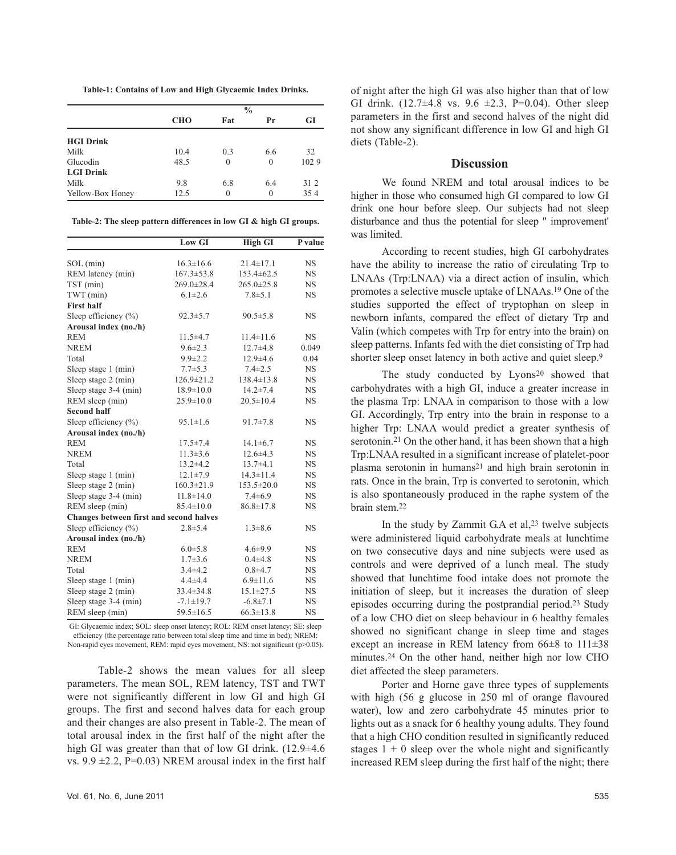**Table-1: Contains of Low and High Glycaemic Index Drinks.**

|                  | $\frac{0}{0}$ |          |          |      |  |
|------------------|---------------|----------|----------|------|--|
|                  | <b>CHO</b>    | Fat      | Pr       | GI   |  |
| <b>HGI Drink</b> |               |          |          |      |  |
| Milk             | 10.4          | 0.3      | 6.6      | 32   |  |
| Glucodin         | 48.5          | $\Omega$ | $\theta$ | 1029 |  |
| <b>LGI Drink</b> |               |          |          |      |  |
| Milk             | 9.8           | 6.8      | 6.4      | 312  |  |
| Yellow-Box Honey | 12.5          | $\Omega$ | $\theta$ | 354  |  |

**Table-2: The sleep pattern differences in low GI & high GI groups.**

|                                         | Low GI           | <b>High GI</b>   | P value   |
|-----------------------------------------|------------------|------------------|-----------|
| SOL (min)                               | $16.3 \pm 16.6$  | $21.4 \pm 17.1$  | <b>NS</b> |
| REM latency (min)                       | $167.3 \pm 53.8$ | $153.4 \pm 62.5$ | NS        |
| TST (min)                               | 269.0±28.4       | $265.0 \pm 25.8$ | <b>NS</b> |
| TWT (min)                               | $6.1 \pm 2.6$    | $7.8 + 5.1$      | <b>NS</b> |
| <b>First half</b>                       |                  |                  |           |
| Sleep efficiency $(\% )$                | $92.3 \pm 5.7$   | $90.5 \pm 5.8$   | <b>NS</b> |
| Arousal index (no./h)                   |                  |                  |           |
| <b>REM</b>                              | $11.5 + 4.7$     | $11.4 \pm 11.6$  | <b>NS</b> |
| <b>NREM</b>                             | $9.6 \pm 2.3$    | $12.7 + 4.8$     | 0.049     |
| Total                                   | $9.9 \pm 2.2$    | $12.9 \pm 4.6$   | 0.04      |
| Sleep stage 1 (min)                     | $7.7 + 5.3$      | $7.4 \pm 2.5$    | <b>NS</b> |
| Sleep stage 2 (min)                     | 126.9±21.2       | $138.4 \pm 13.8$ | <b>NS</b> |
| Sleep stage 3-4 (min)                   | $18.9 \pm 10.0$  | $14.2 \pm 7.4$   | <b>NS</b> |
| REM sleep (min)                         | $25.9 \pm 10.0$  | $20.5 \pm 10.4$  | <b>NS</b> |
| <b>Second half</b>                      |                  |                  |           |
| Sleep efficiency $(\% )$                | $95.1 \pm 1.6$   | $91.7 \pm 7.8$   | <b>NS</b> |
| Arousal index (no./h)                   |                  |                  |           |
| <b>REM</b>                              | $17.5 \pm 7.4$   | $14.1 \pm 6.7$   | <b>NS</b> |
| <b>NREM</b>                             | $11.3 \pm 3.6$   | $12.6 \pm 4.3$   | <b>NS</b> |
| Total                                   | $13.2 \pm 4.2$   | $13.7 + 4.1$     | <b>NS</b> |
| Sleep stage 1 (min)                     | $12.1 \pm 7.9$   | $14.3 \pm 11.4$  | <b>NS</b> |
| Sleep stage 2 (min)                     | $160.3 \pm 21.9$ | $153.5 \pm 20.0$ | NS        |
| Sleep stage 3-4 (min)                   | $11.8 \pm 14.0$  | $7.4 \pm 6.9$    | <b>NS</b> |
| REM sleep (min)                         | $85.4 \pm 10.0$  | $86.8 \pm 17.8$  | <b>NS</b> |
| Changes between first and second halves |                  |                  |           |
| Sleep efficiency $(\% )$                | $2.8 + 5.4$      | $1.3 \pm 8.6$    | NS        |
| Arousal index (no./h)                   |                  |                  |           |
| <b>REM</b>                              | $6.0 \pm 5.8$    | $4.6 \pm 9.9$    | <b>NS</b> |
| <b>NREM</b>                             | $1.7 \pm 3.6$    | $0.4 + 4.8$      | <b>NS</b> |
| Total                                   | $3.4 + 4.2$      | $0.8 + 4.7$      | <b>NS</b> |
| Sleep stage 1 (min)                     | $4.4 + 4.4$      | $6.9 \pm 11.6$   | <b>NS</b> |
| Sleep stage 2 (min)                     | $33.4 \pm 34.8$  | $15.1 \pm 27.5$  | NS        |
| Sleep stage 3-4 (min)                   | $-7.1 \pm 19.7$  | $-6.8 \pm 7.1$   | <b>NS</b> |
| REM sleep (min)                         | $59.5 \pm 16.5$  | $66.3 \pm 13.8$  | NS        |

GI: Glycaemic index; SOL: sleep onset latency; ROL: REM onset latency; SE: sleep efficiency (the percentage ratio between total sleep time and time in bed); NREM: Non-rapid eyes movement, REM: rapid eyes movement, NS: not significant (p>0.05).

Table-2 shows the mean values for all sleep parameters. The mean SOL, REM latency, TST and TWT were not significantly different in low GI and high GI groups. The first and second halves data for each group and their changes are also present in Table-2. The mean of total arousal index in the first half of the night after the high GI was greater than that of low GI drink. (12.9±4.6) vs.  $9.9 \pm 2.2$ , P=0.03) NREM arousal index in the first half

of night after the high GI was also higher than that of low GI drink.  $(12.7\pm4.8 \text{ vs. } 9.6 \pm 2.3, \text{ P=0.04})$ . Other sleep parameters in the first and second halves of the night did not show any significant difference in low GI and high GI diets (Table-2).

### **Discussion**

We found NREM and total arousal indices to be higher in those who consumed high GI compared to low GI drink one hour before sleep. Our subjects had not sleep disturbance and thus the potential for sleep " improvement' was limited.

According to recent studies, high GI carbohydrates have the ability to increase the ratio of circulating Trp to LNAAs (Trp:LNAA) via a direct action of insulin, which promotes a selective muscle uptake of LNAAs.<sup>19</sup> One of the studies supported the effect of tryptophan on sleep in newborn infants, compared the effect of dietary Trp and Valin (which competes with Trp for entry into the brain) on sleep patterns. Infants fed with the diet consisting of Trp had shorter sleep onset latency in both active and quiet sleep.<sup>9</sup>

The study conducted by Lyons<sup>20</sup> showed that carbohydrates with a high GI, induce a greater increase in the plasma Trp: LNAA in comparison to those with a low GI. Accordingly, Trp entry into the brain in response to a higher Trp: LNAA would predict a greater synthesis of serotonin.<sup>21</sup> On the other hand, it has been shown that a high Trp:LNAA resulted in a significant increase of platelet-poor plasma serotonin in humans<sup>21</sup> and high brain serotonin in rats. Once in the brain, Trp is converted to serotonin, which is also spontaneously produced in the raphe system of the brain stem.<sup>22</sup>

In the study by Zammit G.A et al,<sup>23</sup> twelve subjects were administered liquid carbohydrate meals at lunchtime on two consecutive days and nine subjects were used as controls and were deprived of a lunch meal. The study showed that lunchtime food intake does not promote the initiation of sleep, but it increases the duration of sleep episodes occurring during the postprandial period.<sup>23</sup> Study of a low CHO diet on sleep behaviour in 6 healthy females showed no significant change in sleep time and stages except an increase in REM latency from 66±8 to 111±38 minutes.<sup>24</sup> On the other hand, neither high nor low CHO diet affected the sleep parameters.

Porter and Horne gave three types of supplements with high (56 g glucose in 250 ml of orange flavoured water), low and zero carbohydrate 45 minutes prior to lights out as a snack for 6 healthy young adults. They found that a high CHO condition resulted in significantly reduced stages  $1 + 0$  sleep over the whole night and significantly increased REM sleep during the first half of the night; there